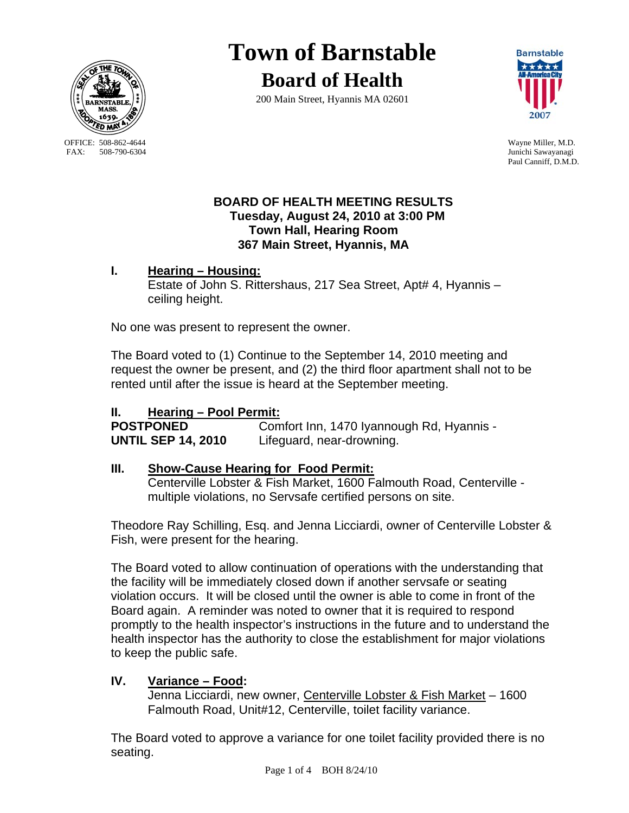

OFFICE: 508-862-4644 Wayne Miller, M.D.<br>
FAX: 508-790-6304 Junichi Sawavanagi

# **Town of Barnstable Board of Health**

200 Main Street, Hyannis MA 02601



Junichi Sawayanagi Paul Canniff, D.M.D.

#### **BOARD OF HEALTH MEETING RESULTS Tuesday, August 24, 2010 at 3:00 PM Town Hall, Hearing Room 367 Main Street, Hyannis, MA**

**I. Hearing – Housing:** Estate of John S. Rittershaus, 217 Sea Street, Apt# 4, Hyannis – ceiling height.

No one was present to represent the owner.

The Board voted to (1) Continue to the September 14, 2010 meeting and request the owner be present, and (2) the third floor apartment shall not to be rented until after the issue is heard at the September meeting.

## **II. Hearing – Pool Permit:**

**POSTPONED Comfort Inn, 1470 Iyannough Rd, Hyannis -UNTIL SEP 14, 2010** Lifeguard, near-drowning.

### **III. Show-Cause Hearing for Food Permit:**

 Centerville Lobster & Fish Market, 1600 Falmouth Road, Centerville multiple violations, no Servsafe certified persons on site.

Theodore Ray Schilling, Esq. and Jenna Licciardi, owner of Centerville Lobster & Fish, were present for the hearing.

The Board voted to allow continuation of operations with the understanding that the facility will be immediately closed down if another servsafe or seating violation occurs. It will be closed until the owner is able to come in front of the Board again. A reminder was noted to owner that it is required to respond promptly to the health inspector's instructions in the future and to understand the health inspector has the authority to close the establishment for major violations to keep the public safe.

# **IV. Variance – Food:**

 Jenna Licciardi, new owner, Centerville Lobster & Fish Market – 1600 Falmouth Road, Unit#12, Centerville, toilet facility variance.

The Board voted to approve a variance for one toilet facility provided there is no seating.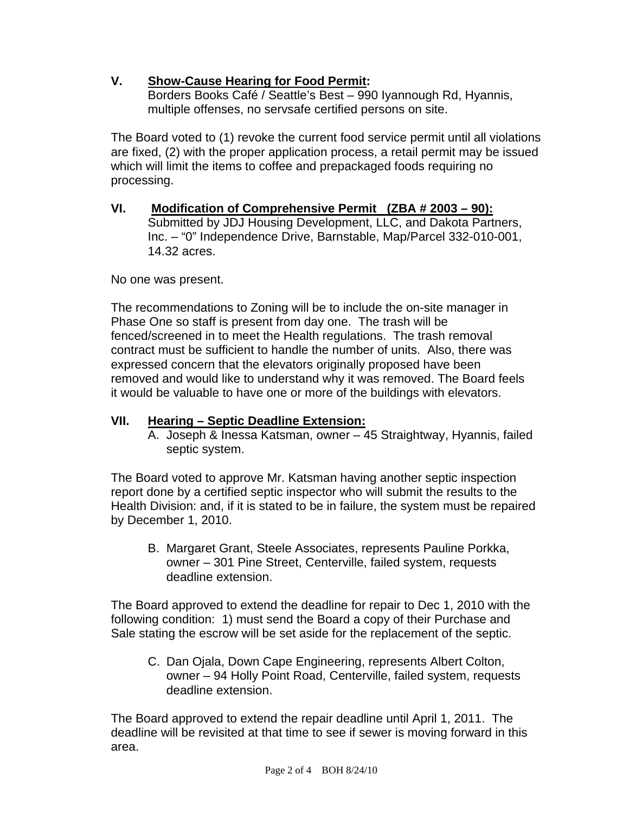## **V. Show-Cause Hearing for Food Permit:**

Borders Books Café / Seattle's Best – 990 Iyannough Rd, Hyannis, multiple offenses, no servsafe certified persons on site.

The Board voted to (1) revoke the current food service permit until all violations are fixed, (2) with the proper application process, a retail permit may be issued which will limit the items to coffee and prepackaged foods requiring no processing.

**VI. Modification of Comprehensive Permit (ZBA # 2003 – 90):** Submitted by JDJ Housing Development, LLC, and Dakota Partners, Inc. – "0" Independence Drive, Barnstable, Map/Parcel 332-010-001, 14.32 acres.

No one was present.

The recommendations to Zoning will be to include the on-site manager in Phase One so staff is present from day one. The trash will be fenced/screened in to meet the Health regulations. The trash removal contract must be sufficient to handle the number of units. Also, there was expressed concern that the elevators originally proposed have been removed and would like to understand why it was removed. The Board feels it would be valuable to have one or more of the buildings with elevators.

### **VII. Hearing – Septic Deadline Extension:**

A. Joseph & Inessa Katsman, owner – 45 Straightway, Hyannis, failed septic system.

The Board voted to approve Mr. Katsman having another septic inspection report done by a certified septic inspector who will submit the results to the Health Division: and, if it is stated to be in failure, the system must be repaired by December 1, 2010.

B. Margaret Grant, Steele Associates, represents Pauline Porkka, owner – 301 Pine Street, Centerville, failed system, requests deadline extension.

The Board approved to extend the deadline for repair to Dec 1, 2010 with the following condition: 1) must send the Board a copy of their Purchase and Sale stating the escrow will be set aside for the replacement of the septic.

C. Dan Ojala, Down Cape Engineering, represents Albert Colton, owner – 94 Holly Point Road, Centerville, failed system, requests deadline extension.

The Board approved to extend the repair deadline until April 1, 2011. The deadline will be revisited at that time to see if sewer is moving forward in this area.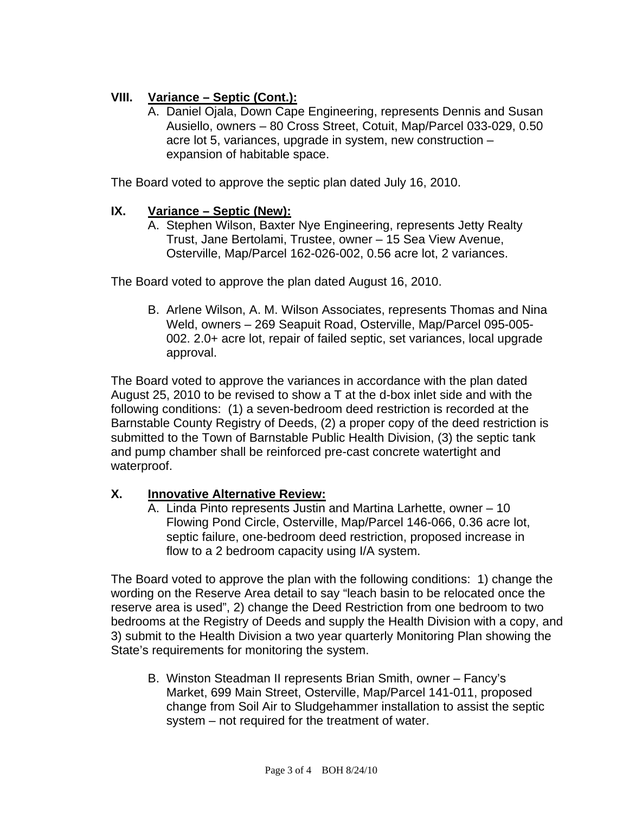## **VIII. Variance – Septic (Cont.):**

A. Daniel Ojala, Down Cape Engineering, represents Dennis and Susan Ausiello, owners – 80 Cross Street, Cotuit, Map/Parcel 033-029, 0.50 acre lot 5, variances, upgrade in system, new construction – expansion of habitable space.

The Board voted to approve the septic plan dated July 16, 2010.

#### **IX. Variance – Septic (New):**

A. Stephen Wilson, Baxter Nye Engineering, represents Jetty Realty Trust, Jane Bertolami, Trustee, owner – 15 Sea View Avenue, Osterville, Map/Parcel 162-026-002, 0.56 acre lot, 2 variances.

The Board voted to approve the plan dated August 16, 2010.

B. Arlene Wilson, A. M. Wilson Associates, represents Thomas and Nina Weld, owners – 269 Seapuit Road, Osterville, Map/Parcel 095-005- 002. 2.0+ acre lot, repair of failed septic, set variances, local upgrade approval.

The Board voted to approve the variances in accordance with the plan dated August 25, 2010 to be revised to show a T at the d-box inlet side and with the following conditions: (1) a seven-bedroom deed restriction is recorded at the Barnstable County Registry of Deeds, (2) a proper copy of the deed restriction is submitted to the Town of Barnstable Public Health Division, (3) the septic tank and pump chamber shall be reinforced pre-cast concrete watertight and waterproof.

#### **X. Innovative Alternative Review:**

A. Linda Pinto represents Justin and Martina Larhette, owner – 10 Flowing Pond Circle, Osterville, Map/Parcel 146-066, 0.36 acre lot, septic failure, one-bedroom deed restriction, proposed increase in flow to a 2 bedroom capacity using I/A system.

The Board voted to approve the plan with the following conditions: 1) change the wording on the Reserve Area detail to say "leach basin to be relocated once the reserve area is used", 2) change the Deed Restriction from one bedroom to two bedrooms at the Registry of Deeds and supply the Health Division with a copy, and 3) submit to the Health Division a two year quarterly Monitoring Plan showing the State's requirements for monitoring the system.

B. Winston Steadman II represents Brian Smith, owner – Fancy's Market, 699 Main Street, Osterville, Map/Parcel 141-011, proposed change from Soil Air to Sludgehammer installation to assist the septic system – not required for the treatment of water.